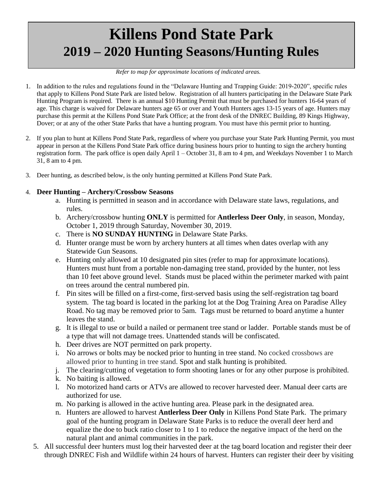## **Killens Pond State Park 2019 – 2020 Hunting Seasons/Hunting Rules**

## *Refer to map for approximate locations of indicated areas.*

- 1. In addition to the rules and regulations found in the "Delaware Hunting and Trapping Guide: 2019-2020", specific rules that apply to Killens Pond State Park are listed below. Registration of all hunters participating in the Delaware State Park Hunting Program is required. There is an annual \$10 Hunting Permit that must be purchased for hunters 16-64 years of age. This charge is waived for Delaware hunters age 65 or over and Youth Hunters ages 13-15 years of age. Hunters may purchase this permit at the Killens Pond State Park Office; at the front desk of the DNREC Building, 89 Kings Highway, Dover; or at any of the other State Parks that have a hunting program. You must have this permit prior to hunting.
- 2. If you plan to hunt at Killens Pond State Park, regardless of where you purchase your State Park Hunting Permit, you must appear in person at the Killens Pond State Park office during business hours prior to hunting to sign the archery hunting registration form. The park office is open daily April 1 – October 31, 8 am to 4 pm, and Weekdays November 1 to March 31, 8 am to 4 pm.
- 3. Deer hunting, as described below, is the only hunting permitted at Killens Pond State Park.

## 4. **Deer Hunting – Archery/Crossbow Seasons**

- a. Hunting is permitted in season and in accordance with Delaware state laws, regulations, and rules.
- b. Archery/crossbow hunting **ONLY** is permitted for **Antlerless Deer Only**, in season, Monday, October 1, 2019 through Saturday, November 30, 2019.
- c. There is **NO SUNDAY HUNTING** in Delaware State Parks.
- d. Hunter orange must be worn by archery hunters at all times when dates overlap with any Statewide Gun Seasons.
- e. Hunting only allowed at 10 designated pin sites (refer to map for approximate locations). Hunters must hunt from a portable non-damaging tree stand, provided by the hunter, not less than 10 feet above ground level. Stands must be placed within the perimeter marked with paint on trees around the central numbered pin.
- f. Pin sites will be filled on a first-come, first-served basis using the self-registration tag board system. The tag board is located in the parking lot at the Dog Training Area on Paradise Alley Road. No tag may be removed prior to 5am. Tags must be returned to board anytime a hunter leaves the stand.
- g. It is illegal to use or build a nailed or permanent tree stand or ladder. Portable stands must be of a type that will not damage trees. Unattended stands will be confiscated.
- h. Deer drives are NOT permitted on park property.
- i. No arrows or bolts may be nocked prior to hunting in tree stand. No cocked crossbows are allowed prior to hunting in tree stand. Spot and stalk hunting is prohibited.
- j. The clearing/cutting of vegetation to form shooting lanes or for any other purpose is prohibited.
- k. No baiting is allowed.
- l. No motorized hand carts or ATVs are allowed to recover harvested deer. Manual deer carts are authorized for use.
- m. No parking is allowed in the active hunting area. Please park in the designated area.
- n. Hunters are allowed to harvest **Antlerless Deer Only** in Killens Pond State Park. The primary goal of the hunting program in Delaware State Parks is to reduce the overall deer herd and equalize the doe to buck ratio closer to 1 to 1 to reduce the negative impact of the herd on the natural plant and animal communities in the park.
- 5. All successful deer hunters must log their harvested deer at the tag board location and register their deer through DNREC Fish and Wildlife within 24 hours of harvest. Hunters can register their deer by visiting